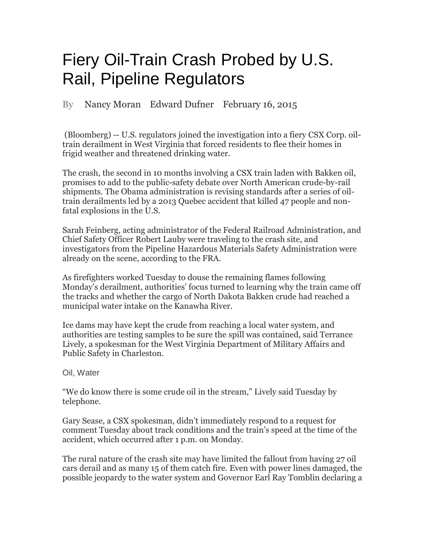## Fiery Oil-Train Crash Probed by U.S. Rail, Pipeline Regulators

By Nancy Moran Edward Dufner February 16, 2015

 (Bloomberg) -- U.S. regulators joined the investigation into a fiery CSX Corp. oiltrain derailment in West Virginia that forced residents to flee their homes in frigid weather and threatened drinking water.

The crash, the second in 10 months involving a CSX train laden with Bakken oil, promises to add to the public-safety debate over North American crude-by-rail shipments. The Obama administration is revising standards after a series of oiltrain derailments led by a 2013 Quebec accident that killed 47 people and nonfatal explosions in the U.S.

Sarah Feinberg, acting administrator of the Federal Railroad Administration, and Chief Safety Officer Robert Lauby were traveling to the crash site, and investigators from the Pipeline Hazardous Materials Safety Administration were already on the scene, according to the FRA.

As firefighters worked Tuesday to douse the remaining flames following Monday's derailment, authorities' focus turned to learning why the train came off the tracks and whether the cargo of North Dakota Bakken crude had reached a municipal water intake on the Kanawha River.

Ice dams may have kept the crude from reaching a local water system, and authorities are testing samples to be sure the spill was contained, said Terrance Lively, a spokesman for the West Virginia Department of Military Affairs and Public Safety in Charleston.

Oil, Water

"We do know there is some crude oil in the stream," Lively said Tuesday by telephone.

Gary Sease, a CSX spokesman, didn't immediately respond to a request for comment Tuesday about track conditions and the train's speed at the time of the accident, which occurred after 1 p.m. on Monday.

The rural nature of the crash site may have limited the fallout from having 27 oil cars derail and as many 15 of them catch fire. Even with power lines damaged, the possible jeopardy to the water system and Governor Earl Ray Tomblin declaring a